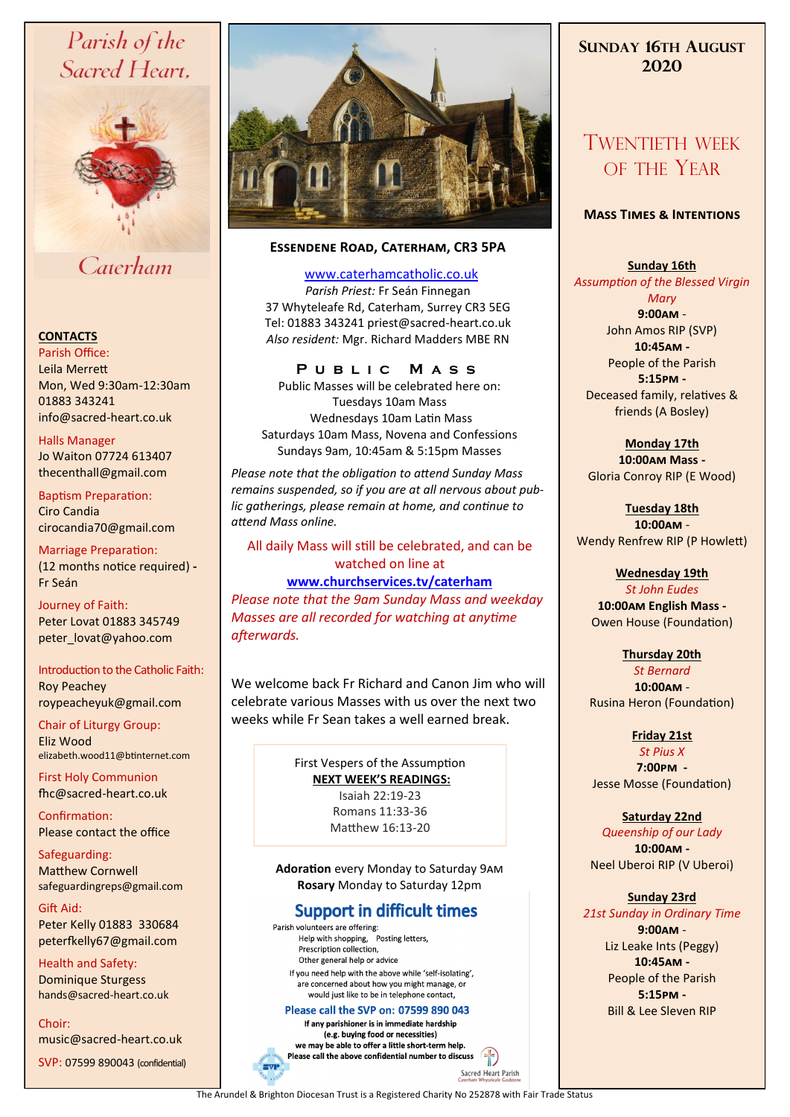# Parish of the Sacred Heart,



# Caterham

#### **CONTACTS**

Parish Office: Leila Merrett Mon, Wed 9:30am-12:30am 01883 343241 info@sacred-heart.co.uk .

Halls Manager Jo Waiton 07724 613407 thecenthall@gmail.com

Baptism Preparation: Ciro Candia cirocandia70@gmail.com

Marriage Preparation: (12 months notice required) **-** Fr Seán

Journey of Faith: Peter Lovat 01883 345749 peter\_lovat@yahoo.com

Introduction to the Catholic Faith: Roy Peachey

roypeacheyuk@gmail.com

Chair of Liturgy Group: Eliz Wood elizabeth.wood11@btinternet.com

First Holy Communion fhc@sacred-heart.co.uk

Confirmation: Please contact the office

Safeguarding: Matthew Cornwell safeguardingreps@gmail.com

Gift Aid: Peter Kelly 01883 330684 peterfkelly67@gmail.com

Health and Safety: Dominique Sturgess hands@sacred-heart.co.uk

Choir: music@sacred-heart.co.uk

SVP: 07599 890043 (confidential)



## **Essendene Road, Caterham, CR3 5PA**

[www.caterhamcatholic.co.uk](http://Www.caterhamcatholic.co.uk)

*Parish Priest:* Fr Seán Finnegan 37 Whyteleafe Rd, Caterham, Surrey CR3 5EG Tel: 01883 343241 priest@sacred-heart.co.uk *Also resident:* Mgr. Richard Madders MBE RN

## **P u b l i c M a s s**

Public Masses will be celebrated here on: Tuesdays 10am Mass Wednesdays 10am Latin Mass Saturdays 10am Mass, Novena and Confessions Sundays 9am, 10:45am & 5:15pm Masses

*Please note that the obligation to attend Sunday Mass remains suspended, so if you are at all nervous about public gatherings, please remain at home, and continue to attend Mass online.*

### All daily Mass will still be celebrated, and can be watched on line at

## **[www.churchservices.tv/caterham](http://www.churchservices.tv/caterham)**

*Please note that the 9am Sunday Mass and weekday Masses are all recorded for watching at anytime afterwards.*

We welcome back Fr Richard and Canon Jim who will celebrate various Masses with us over the next two weeks while Fr Sean takes a well earned break.

> First Vespers of the Assumption **NEXT WEEK'S READINGS:**  Isaiah 22:19-23 Romans 11:33-36 Matthew 16:13-20

**Adoration** every Monday to Saturday 9am **Rosary** Monday to Saturday 12pm

# **Support in difficult times**

Parish volunteers are offering: Help with shopping, Posting letters, Prescription collection, Other general help or advice If you need help with the above while 'self-isolating'. are concerned about how you might manage, or would just like to be in telephone contact,

#### Please call the SVP on: 07599 890 043

If any parishioner is in immediate hardship (e.g. buying food or necessities) we may be able to offer a little short-term help. Please call the above confidential number to discuss  $\left| \cdot \right|$ 

# **SUNDAY 16TH AUGUST 2020**

# TWENTIETH WEEK OF THE YEAR

### **Mass Times & Intentions**

**Sunday 16th**  *Assumption of the Blessed Virgin Mary* **9:00am** - John Amos RIP (SVP) **10:45am -** People of the Parish

**5:15pm -** Deceased family, relatives & friends (A Bosley)

**Monday 17th 10:00am Mass -** Gloria Conroy RIP (E Wood)

**Tuesday 18th 10:00am** - Wendy Renfrew RIP (P Howlett)

# **Wednesday 19th**

*St John Eudes* **10:00am English Mass -** Owen House (Foundation)

#### **Thursday 20th**  *St Bernard* **10:00am** - Rusina Heron (Foundation)

**Friday 21st** *St Pius X* **7:00pm -** Jesse Mosse (Foundation)

**Saturday 22nd** *Queenship of our Lady* **10:00am -**  Neel Uberoi RIP (V Uberoi)

# **Sunday 23rd**

*21st Sunday in Ordinary Time* **9:00am** - Liz Leake Ints (Peggy) **10:45am -** People of the Parish **5:15pm -** Bill & Lee Sleven RIP

The Arundel & Brighton Diocesan Trust is a Registered Charity No 252878 with Fair Trade Status

Sacred Heart Parish